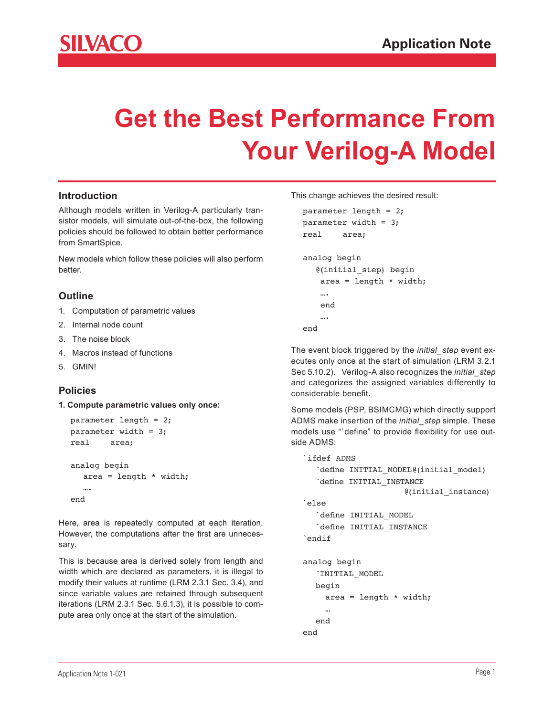

# **Get the Best Performance From Your Verilog-A Model**

## **Introduction**

Although models written in Verilog-A particularly transistor models, will simulate out-of-the-box, the following policies should be followed to obtain better performance from SmartSpice.

New models which follow these policies will also perform better.

## **Outline**

- 1. Computation of parametric values
- 2. Internal node count
- 3. The noise block
- 4. Macros instead of functions
- 5. GMIN!

## **Policies**

**1. Compute parametric values only once:**

```
parameter length = 2;
parameter width = 3;
real area;
analog begin
  area = length * width; ….
end
```
Here, area is repeatedly computed at each iteration. However, the computations after the first are unnecessary.

This is because area is derived solely from length and width which are declared as parameters, it is illegal to modify their values at runtime (LRM 2.3.1 Sec. 3.4), and since variable values are retained through subsequent iterations (LRM 2.3.1 Sec. 5.6.1.3), it is possible to compute area only once at the start of the simulation.

This change achieves the desired result:

```
parameter length = 2;
parameter width = 3;
real area;
analog begin
   @(initial_step) begin
   area = length * width;
```

```
 end
      ….
end
```
….

 end end

The event block triggered by the *initial\_step* event executes only once at the start of simulation (LRM 3.2.1 Sec 5.10.2). Verilog-A also recognizes the *initial\_step* and categorizes the assigned variables differently to considerable benefit.

Some models (PSP, BSIMCMG) which directly support ADMS make insertion of the *initial\_step* simple. These models use "`define" to provide flexibility for use outside ADMS:

```
`ifdef ADMS
     `define INITIAL MODEL@(initial model)
     	 	 `define INITIAL_INSTANCE	
                           @(initial_instance)
  `else
     	 	 `define INITIAL_MODEL
     	 	 `define INITIAL_INSTANCE
  `endif 
  analog begin
     	 	 `INITIAL_MODEL
      begin
       area = length * width; …
```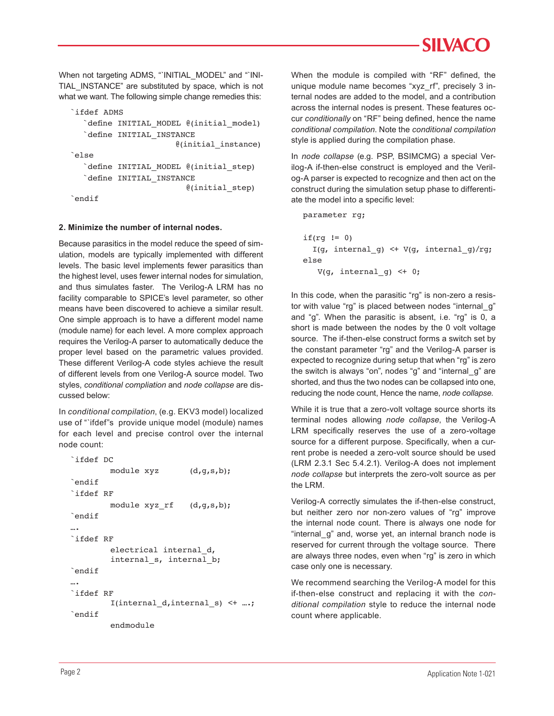When not targeting ADMS, "`INITIAL\_MODEL" and "`INI-TIAL\_INSTANCE" are substituted by space, which is not what we want. The following simple change remedies this:

```
`ifdef ADMS
   	 	 `define INITIAL_MODEL @(initial_model)
   	 	 `define INITIAL_INSTANCE
                          @(initial_instance)
`else
   	 	 `define INITIAL_MODEL @(initial_step)
   	 	 `define INITIAL_INSTANCE
                             @(initial_step)
`endif
```
#### **2. Minimize the number of internal nodes.**

Because parasitics in the model reduce the speed of simulation, models are typically implemented with different levels. The basic level implements fewer parasitics than the highest level, uses fewer internal nodes for simulation, and thus simulates faster. The Verilog-A LRM has no facility comparable to SPICE's level parameter, so other means have been discovered to achieve a similar result. One simple approach is to have a different model name (module name) for each level. A more complex approach requires the Verilog-A parser to automatically deduce the proper level based on the parametric values provided. These different Verilog-A code styles achieve the result of different levels from one Verilog-A source model. Two styles, *conditional compliation* and *node collapse* are discussed below:

In *conditional compilation*, (e.g. EKV3 model) localized use of "`ifdef"s provide unique model (module) names for each level and precise control over the internal node count:

```
	 `ifdef DC
        module xyz (d,q,s,b);`endif
`ifdef RF
        module xyz rf (d,g,s,b);
`endif
….
`ifdef RF
          electrical internal_d, 
         internal s, internal b;
`endif
….
`ifdef RF 
         	 	 	 I(internal_d,internal_s) <+ ….;
`endif
          endmodule
```
When the module is compiled with "RF" defined, the unique module name becomes "xyz\_rf", precisely 3 internal nodes are added to the model, and a contribution across the internal nodes is present. These features occur *conditionally* on "RF" being defined, hence the name *conditional compilation*. Note the *conditional compilation*  style is applied during the compilation phase.

In *node collapse* (e.g. PSP, BSIMCMG) a special Verilog-A if-then-else construct is employed and the Verilog-A parser is expected to recognize and then act on the construct during the simulation setup phase to differentiate the model into a specific level:

parameter rg;

```
if(rg != 0) I(g, internal_g) <+ V(g, internal_g)/rg;
else 
   V(q, internal q) \leq + 0;
```
In this code, when the parasitic "rg" is non-zero a resistor with value "rg" is placed between nodes "internal\_g" and "g". When the parasitic is absent, i.e. "rg" is 0, a short is made between the nodes by the 0 volt voltage source. The if-then-else construct forms a switch set by the constant parameter "rg" and the Verilog-A parser is expected to recognize during setup that when "rg" is zero the switch is always "on", nodes "g" and "internal\_g" are shorted, and thus the two nodes can be collapsed into one, reducing the node count, Hence the name, *node collapse*.

While it is true that a zero-volt voltage source shorts its terminal nodes allowing *node collapse*, the Verilog-A LRM specifically reserves the use of a zero-voltage source for a different purpose. Specifically, when a current probe is needed a zero-volt source should be used (LRM 2.3.1 Sec 5.4.2.1). Verilog-A does not implement *node collapse* but interprets the zero-volt source as per the LRM.

Verilog-A correctly simulates the if-then-else construct, but neither zero nor non-zero values of "rg" improve the internal node count. There is always one node for "internal\_g" and, worse yet, an internal branch node is reserved for current through the voltage source. There are always three nodes, even when "rg" is zero in which case only one is necessary.

We recommend searching the Verilog-A model for this if-then-else construct and replacing it with the *conditional compilation* style to reduce the internal node count where applicable.